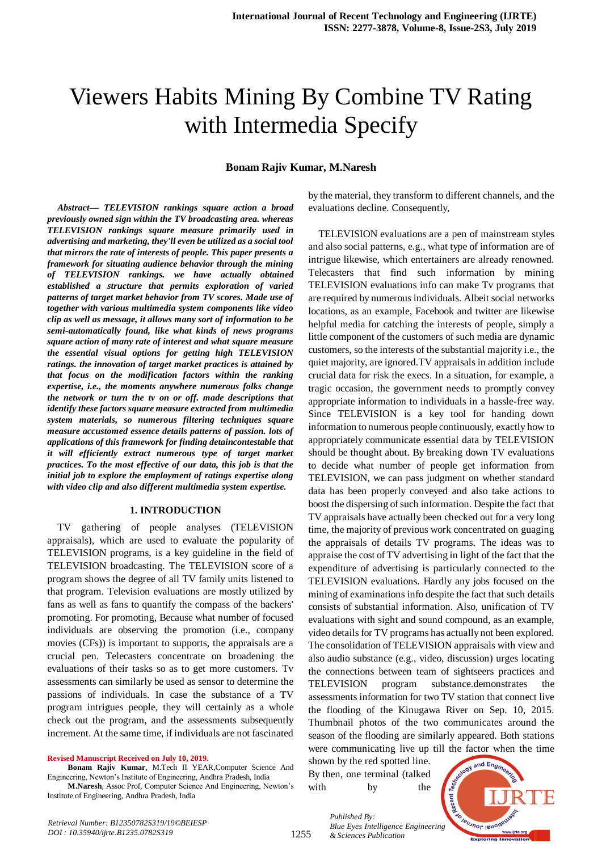# Viewers Habits Mining By Combine TV Rating with Intermedia Specify

## **Bonam Rajiv Kumar, M.Naresh**

*Abstract***—** *TELEVISION rankings square action a broad previously owned sign within the TV broadcasting area. whereas TELEVISION rankings square measure primarily used in advertising and marketing, they'll even be utilized as a social tool that mirrors the rate of interests of people. This paper presents a framework for situating audience behavior through the mining of TELEVISION rankings. we have actually obtained established a structure that permits exploration of varied patterns of target market behavior from TV scores. Made use of together with various multimedia system components like video clip as well as message, it allows many sort of information to be semi-automatically found, like what kinds of news programs square action of many rate of interest and what square measure the essential visual options for getting high TELEVISION ratings. the innovation of target market practices is attained by that focus on the modification factors within the ranking expertise, i.e., the moments anywhere numerous folks change the network or turn the tv on or off. made descriptions that identify these factors square measure extracted from multimedia system materials, so numerous filtering techniques square measure accustomed essence details patterns of passion. lots of applications of this framework for finding detaincontestable that it will efficiently extract numerous type of target market practices. To the most effective of our data, this job is that the initial job to explore the employment of ratings expertise along with video clip and also different multimedia system expertise.*

#### **1. INTRODUCTION**

TV gathering of people analyses (TELEVISION appraisals), which are used to evaluate the popularity of TELEVISION programs, is a key guideline in the field of TELEVISION broadcasting. The TELEVISION score of a program shows the degree of all TV family units listened to that program. Television evaluations are mostly utilized by fans as well as fans to quantify the compass of the backers' promoting. For promoting, Because what number of focused individuals are observing the promotion (i.e., company movies (CFs)) is important to supports, the appraisals are a crucial pen. Telecasters concentrate on broadening the evaluations of their tasks so as to get more customers. Tv assessments can similarly be used as sensor to determine the passions of individuals. In case the substance of a TV program intrigues people, they will certainly as a whole check out the program, and the assessments subsequently increment. At the same time, if individuals are not fascinated

**Revised Manuscript Received on July 10, 2019.**

**Bonam Rajiv Kumar**, M.Tech II YEAR,Computer Science And Engineering, Newton's Institute of Engineering, Andhra Pradesh, India

**M.Naresh**, Assoc Prof, Computer Science And Engineering, Newton's Institute of Engineering, Andhra Pradesh, India

by the material, they transform to different channels, and the evaluations decline. Consequently,

TELEVISION evaluations are a pen of mainstream styles and also social patterns, e.g., what type of information are of intrigue likewise, which entertainers are already renowned. Telecasters that find such information by mining TELEVISION evaluations info can make Tv programs that are required by numerous individuals. Albeit social networks locations, as an example, Facebook and twitter are likewise helpful media for catching the interests of people, simply a little component of the customers of such media are dynamic customers, so the interests of the substantial majority i.e., the quiet majority, are ignored.TV appraisals in addition include crucial data for risk the execs. In a situation, for example, a tragic occasion, the government needs to promptly convey appropriate information to individuals in a hassle-free way. Since TELEVISION is a key tool for handing down information to numerous people continuously, exactly how to appropriately communicate essential data by TELEVISION should be thought about. By breaking down TV evaluations to decide what number of people get information from TELEVISION, we can pass judgment on whether standard data has been properly conveyed and also take actions to boost the dispersing of such information. Despite the fact that TV appraisals have actually been checked out for a very long time, the majority of previous work concentrated on guaging the appraisals of details TV programs. The ideas was to appraise the cost of TV advertising in light of the fact that the expenditure of advertising is particularly connected to the TELEVISION evaluations. Hardly any jobs focused on the mining of examinations info despite the fact that such details consists of substantial information. Also, unification of TV evaluations with sight and sound compound, as an example, video details for TV programs has actually not been explored. The consolidation of TELEVISION appraisals with view and also audio substance (e.g., video, discussion) urges locating the connections between team of sightseers practices and TELEVISION program substance.demonstrates the assessments information for two TV station that connect live the flooding of the Kinugawa River on Sep. 10, 2015. Thumbnail photos of the two communicates around the season of the flooding are similarly appeared. Both stations were communicating live up till the factor when the time

shown by the red spotted line. By then, one terminal (talked with by the

*& Sciences Publication* 

*Published By:*



*Retrieval Number: B12350782S319/19©BEIESP DOI : 10.35940/ijrte.B1235.0782S319*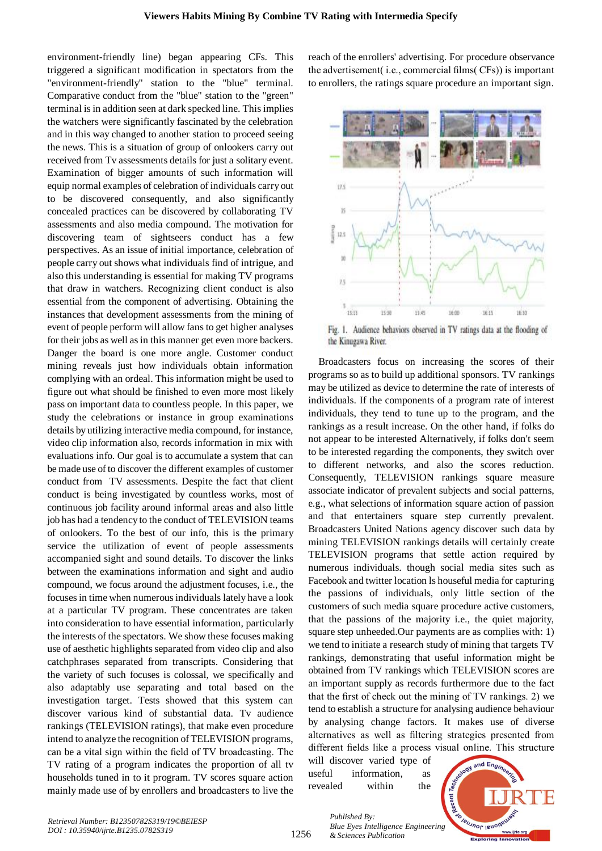environment-friendly line) began appearing CFs. This triggered a significant modification in spectators from the "environment-friendly" station to the "blue" terminal. Comparative conduct from the "blue" station to the "green" terminal is in addition seen at dark specked line. This implies the watchers were significantly fascinated by the celebration and in this way changed to another station to proceed seeing the news. This is a situation of group of onlookers carry out received from Tv assessments details for just a solitary event. Examination of bigger amounts of such information will equip normal examples of celebration of individuals carry out to be discovered consequently, and also significantly concealed practices can be discovered by collaborating TV assessments and also media compound. The motivation for discovering team of sightseers conduct has a few perspectives. As an issue of initial importance, celebration of people carry out shows what individuals find of intrigue, and also this understanding is essential for making TV programs that draw in watchers. Recognizing client conduct is also essential from the component of advertising. Obtaining the instances that development assessments from the mining of event of people perform will allow fans to get higher analyses for their jobs as well as in this manner get even more backers. Danger the board is one more angle. Customer conduct mining reveals just how individuals obtain information complying with an ordeal. This information might be used to figure out what should be finished to even more most likely pass on important data to countless people. In this paper, we study the celebrations or instance in group examinations details by utilizing interactive media compound, for instance, video clip information also, records information in mix with evaluations info. Our goal is to accumulate a system that can be made use of to discover the different examples of customer conduct from TV assessments. Despite the fact that client conduct is being investigated by countless works, most of continuous job facility around informal areas and also little job has had a tendency to the conduct of TELEVISION teams of onlookers. To the best of our info, this is the primary service the utilization of event of people assessments accompanied sight and sound details. To discover the links between the examinations information and sight and audio compound, we focus around the adjustment focuses, i.e., the focuses in time when numerous individuals lately have a look at a particular TV program. These concentrates are taken into consideration to have essential information, particularly the interests of the spectators. We show these focuses making use of aesthetic highlights separated from video clip and also catchphrases separated from transcripts. Considering that the variety of such focuses is colossal, we specifically and also adaptably use separating and total based on the investigation target. Tests showed that this system can discover various kind of substantial data. Tv audience rankings (TELEVISION ratings), that make even procedure intend to analyze the recognition of TELEVISION programs, can be a vital sign within the field of TV broadcasting. The TV rating of a program indicates the proportion of all tv households tuned in to it program. TV scores square action mainly made use of by enrollers and broadcasters to live the reach of the enrollers' advertising. For procedure observance the advertisement( i.e., commercial films( CFs)) is important to enrollers, the ratings square procedure an important sign.



Fig. 1. Audience behaviors observed in TV ratings data at the flooding of the Kinugawa River.

Broadcasters focus on increasing the scores of their programs so as to build up additional sponsors. TV rankings may be utilized as device to determine the rate of interests of individuals. If the components of a program rate of interest individuals, they tend to tune up to the program, and the rankings as a result increase. On the other hand, if folks do not appear to be interested Alternatively, if folks don't seem to be interested regarding the components, they switch over to different networks, and also the scores reduction. Consequently, TELEVISION rankings square measure associate indicator of prevalent subjects and social patterns, e.g., what selections of information square action of passion and that entertainers square step currently prevalent. Broadcasters United Nations agency discover such data by mining TELEVISION rankings details will certainly create TELEVISION programs that settle action required by numerous individuals. though social media sites such as Facebook and twitter location ls houseful media for capturing the passions of individuals, only little section of the customers of such media square procedure active customers, that the passions of the majority i.e., the quiet majority, square step unheeded.Our payments are as complies with: 1) we tend to initiate a research study of mining that targets TV rankings, demonstrating that useful information might be obtained from TV rankings which TELEVISION scores are an important supply as records furthermore due to the fact that the first of check out the mining of TV rankings. 2) we tend to establish a structure for analysing audience behaviour by analysing change factors. It makes use of diverse alternatives as well as filtering strategies presented from different fields like a process visual online. This structure

will discover varied type of useful information, as revealed within the



1256

*Published By: Blue Eyes Intelligence Engineering & Sciences Publication*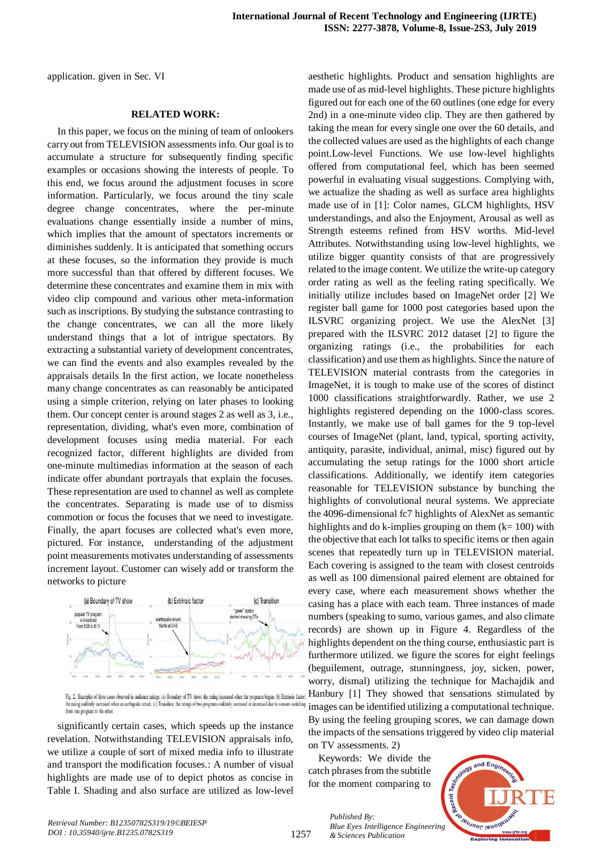application. given in Sec. VI

## **RELATED WORK:**

In this paper, we focus on the mining of team of onlookers carry out from TELEVISION assessments info. Our goal is to accumulate a structure for subsequently finding specific examples or occasions showing the interests of people. To this end, we focus around the adjustment focuses in score information. Particularly, we focus around the tiny scale degree change concentrates, where the per-minute evaluations change essentially inside a number of mins, which implies that the amount of spectators increments or diminishes suddenly. It is anticipated that something occurs at these focuses, so the information they provide is much more successful than that offered by different focuses. We determine these concentrates and examine them in mix with video clip compound and various other meta-information such as inscriptions. By studying the substance contrasting to the change concentrates, we can all the more likely understand things that a lot of intrigue spectators. By extracting a substantial variety of development concentrates, we can find the events and also examples revealed by the appraisals details In the first action, we locate nonetheless many change concentrates as can reasonably be anticipated using a simple criterion, relying on later phases to looking them. Our concept center is around stages 2 as well as 3, i.e., representation, dividing, what's even more, combination of development focuses using media material. For each recognized factor, different highlights are divided from one-minute multimedias information at the season of each indicate offer abundant portrayals that explain the focuses. These representation are used to channel as well as complete the concentrates. Separating is made use of to dismiss commotion or focus the focuses that we need to investigate. Finally, the apart focuses are collected what's even more, pictured. For instance, understanding of the adjustment point measurements motivates understanding of assessments increment layout. Customer can wisely add or transform the networks to picture



from one program to the other

significantly certain cases, which speeds up the instance revelation. Notwithstanding TELEVISION appraisals info, we utilize a couple of sort of mixed media info to illustrate and transport the modification focuses.: A number of visual highlights are made use of to depict photos as concise in Table I. Shading and also surface are utilized as low-level

aesthetic highlights. Product and sensation highlights are made use of as mid-level highlights. These picture highlights figured out for each one of the 60 outlines (one edge for every 2nd) in a one-minute video clip. They are then gathered by taking the mean for every single one over the 60 details, and the collected values are used as the highlights of each change point.Low-level Functions. We use low-level highlights offered from computational feel, which has been seemed powerful in evaluating visual suggestions. Complying with, we actualize the shading as well as surface area highlights made use of in [1]: Color names, GLCM highlights, HSV understandings, and also the Enjoyment, Arousal as well as Strength esteems refined from HSV worths. Mid-level Attributes. Notwithstanding using low-level highlights, we utilize bigger quantity consists of that are progressively related to the image content. We utilize the write-up category order rating as well as the feeling rating specifically. We initially utilize includes based on ImageNet order [2] We register ball game for 1000 post categories based upon the ILSVRC organizing project. We use the AlexNet [3] prepared with the ILSVRC 2012 dataset [2] to figure the organizing ratings (i.e., the probabilities for each classification) and use them as highlights. Since the nature of TELEVISION material contrasts from the categories in ImageNet, it is tough to make use of the scores of distinct 1000 classifications straightforwardly. Rather, we use 2 highlights registered depending on the 1000-class scores. Instantly, we make use of ball games for the 9 top-level courses of ImageNet (plant, land, typical, sporting activity, antiquity, parasite, individual, animal, misc) figured out by accumulating the setup ratings for the 1000 short article classifications. Additionally, we identify item categories reasonable for TELEVISION substance by bunching the highlights of convolutional neural systems. We appreciate the 4096-dimensional fc7 highlights of AlexNet as semantic highlights and do k-implies grouping on them  $(k= 100)$  with the objective that each lot talks to specific items or then again scenes that repeatedly turn up in TELEVISION material. Each covering is assigned to the team with closest centroids as well as 100 dimensional paired element are obtained for every case, where each measurement shows whether the casing has a place with each team. Three instances of made numbers (speaking to sumo, various games, and also climate records) are shown up in Figure 4. Regardless of the highlights dependent on the thing course, enthusiastic part is furthermore utilized. we figure the scores for eight feelings (beguilement, outrage, stunningness, joy, sicken, power, worry, dismal) utilizing the technique for Machajdik and Fig. 2. Examples of three cases observed in autence ratings. (a) Boundary of TV show: the rating increased when the programs began. (b) Extrinsic factor:  $\bf{H}anbury$  [1] They showed that sensations stimulated by the rating suddenly increased when an earthquake struck. (c) Transition: the ratings of two programs suddenly increased or decreased due to viewers switching images can be identified utilizing a computational technique. By using the feeling grouping scores, we can damage down the impacts of the sensations triggered by video clip material on TV assessments. 2)

> Keywords: We divide the catch phrases from the subtitle for the moment comparing to

> > *& Sciences Publication*

*Published By:*

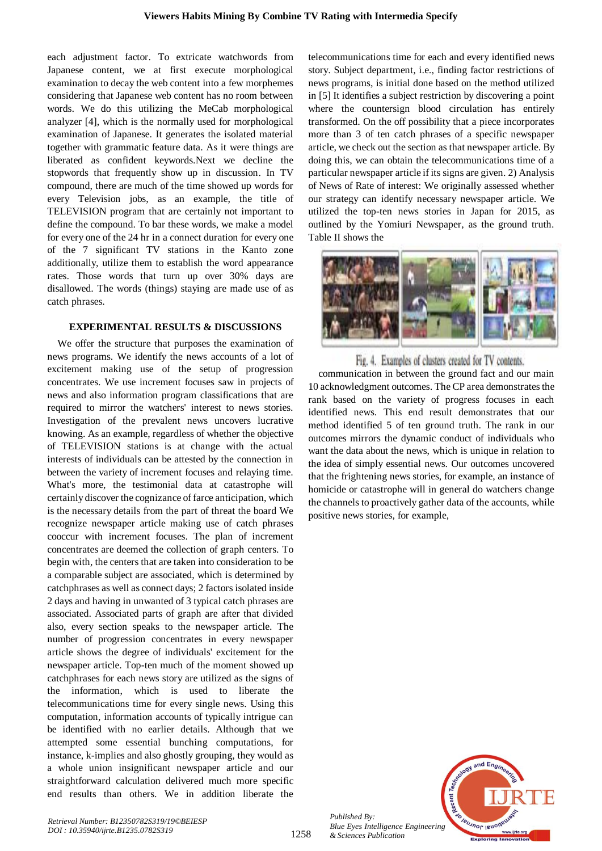each adjustment factor. To extricate watchwords from Japanese content, we at first execute morphological examination to decay the web content into a few morphemes considering that Japanese web content has no room between words. We do this utilizing the MeCab morphological analyzer [4], which is the normally used for morphological examination of Japanese. It generates the isolated material together with grammatic feature data. As it were things are liberated as confident keywords.Next we decline the stopwords that frequently show up in discussion. In TV compound, there are much of the time showed up words for every Television jobs, as an example, the title of TELEVISION program that are certainly not important to define the compound. To bar these words, we make a model for every one of the 24 hr in a connect duration for every one of the 7 significant TV stations in the Kanto zone additionally, utilize them to establish the word appearance rates. Those words that turn up over 30% days are disallowed. The words (things) staying are made use of as catch phrases.

#### **EXPERIMENTAL RESULTS & DISCUSSIONS**

We offer the structure that purposes the examination of news programs. We identify the news accounts of a lot of excitement making use of the setup of progression concentrates. We use increment focuses saw in projects of news and also information program classifications that are required to mirror the watchers' interest to news stories. Investigation of the prevalent news uncovers lucrative knowing. As an example, regardless of whether the objective of TELEVISION stations is at change with the actual interests of individuals can be attested by the connection in between the variety of increment focuses and relaying time. What's more, the testimonial data at catastrophe will certainly discover the cognizance of farce anticipation, which is the necessary details from the part of threat the board We recognize newspaper article making use of catch phrases cooccur with increment focuses. The plan of increment concentrates are deemed the collection of graph centers. To begin with, the centers that are taken into consideration to be a comparable subject are associated, which is determined by catchphrases as well as connect days; 2 factors isolated inside 2 days and having in unwanted of 3 typical catch phrases are associated. Associated parts of graph are after that divided also, every section speaks to the newspaper article. The number of progression concentrates in every newspaper article shows the degree of individuals' excitement for the newspaper article. Top-ten much of the moment showed up catchphrases for each news story are utilized as the signs of the information, which is used to liberate the telecommunications time for every single news. Using this computation, information accounts of typically intrigue can be identified with no earlier details. Although that we attempted some essential bunching computations, for instance, k-implies and also ghostly grouping, they would as a whole union insignificant newspaper article and our straightforward calculation delivered much more specific end results than others. We in addition liberate the telecommunications time for each and every identified news story. Subject department, i.e., finding factor restrictions of news programs, is initial done based on the method utilized in [5] It identifies a subject restriction by discovering a point where the countersign blood circulation has entirely transformed. On the off possibility that a piece incorporates more than 3 of ten catch phrases of a specific newspaper article, we check out the section as that newspaper article. By doing this, we can obtain the telecommunications time of a particular newspaper article if its signs are given. 2) Analysis of News of Rate of interest: We originally assessed whether our strategy can identify necessary newspaper article. We utilized the top-ten news stories in Japan for 2015, as outlined by the Yomiuri Newspaper, as the ground truth. Table II shows the



Fig. 4. Examples of clusters created for TV contents.

communication in between the ground fact and our main 10 acknowledgment outcomes. The CP area demonstrates the rank based on the variety of progress focuses in each identified news. This end result demonstrates that our method identified 5 of ten ground truth. The rank in our outcomes mirrors the dynamic conduct of individuals who want the data about the news, which is unique in relation to the idea of simply essential news. Our outcomes uncovered that the frightening news stories, for example, an instance of homicide or catastrophe will in general do watchers change the channels to proactively gather data of the accounts, while positive news stories, for example,



*Published By: Blue Eyes Intelligence Engineering & Sciences Publication* 

1258